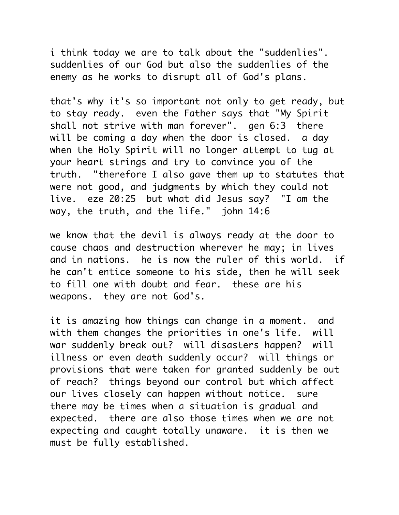i think today we are to talk about the "suddenlies". suddenlies of our God but also the suddenlies of the enemy as he works to disrupt all of God's plans.

that's why it's so important not only to get ready, but to stay ready. even the Father says that "My Spirit shall not strive with man forever". gen 6:3 there will be coming a day when the door is closed. a day when the Holy Spirit will no longer attempt to tug at your heart strings and try to convince you of the truth. "therefore I also gave them up to statutes that were not good, and judgments by which they could not live. eze 20:25 but what did Jesus say? "I am the way, the truth, and the life." john 14:6

we know that the devil is always ready at the door to cause chaos and destruction wherever he may; in lives and in nations. he is now the ruler of this world. if he can't entice someone to his side, then he will seek to fill one with doubt and fear. these are his weapons. they are not God's.

it is amazing how things can change in a moment. and with them changes the priorities in one's life. will war suddenly break out? will disasters happen? will illness or even death suddenly occur? will things or provisions that were taken for granted suddenly be out of reach? things beyond our control but which affect our lives closely can happen without notice. sure there may be times when a situation is gradual and expected. there are also those times when we are not expecting and caught totally unaware. it is then we must be fully established.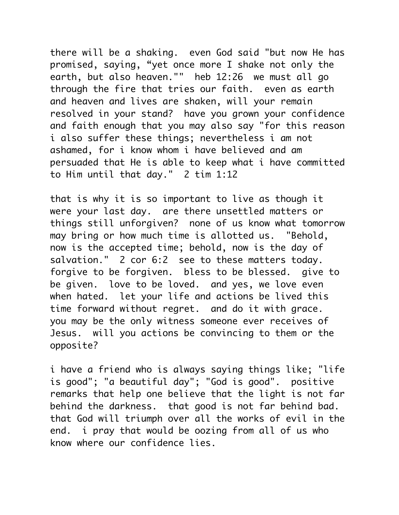there will be a shaking. even God said "but now He has promised, saying, "yet once more I shake not only the earth, but also heaven."" heb 12:26 we must all ao through the fire that tries our faith. even as earth and heaven and lives are shaken, will your remain resolved in your stand? have you grown your confidence and faith enough that you may also say "for this reason i also suffer these things; nevertheless i am not ashamed, for i know whom i have believed and am persuaded that He is able to keep what i have committed to Him until that day." 2 tim 1:12

that is why it is so important to live as though it were your last day. are there unsettled matters or things still unforgiven? none of us know what tomorrow may bring or how much time is allotted us. "Behold, now is the accepted time; behold, now is the day of salvation." 2 cor 6:2 see to these matters today. forgive to be forgiven. bless to be blessed. give to be given. love to be loved. and yes, we love even when hated. let your life and actions be lived this time forward without regret. and do it with grace. you may be the only witness someone ever receives of Jesus. will you actions be convincing to them or the opposite?

i have a friend who is always saying things like; "life is good"; "a beautiful day"; "God is good". positive remarks that help one believe that the light is not far behind the darkness. that good is not far behind bad. that God will triumph over all the works of evil in the end. i pray that would be oozing from all of us who know where our confidence lies.